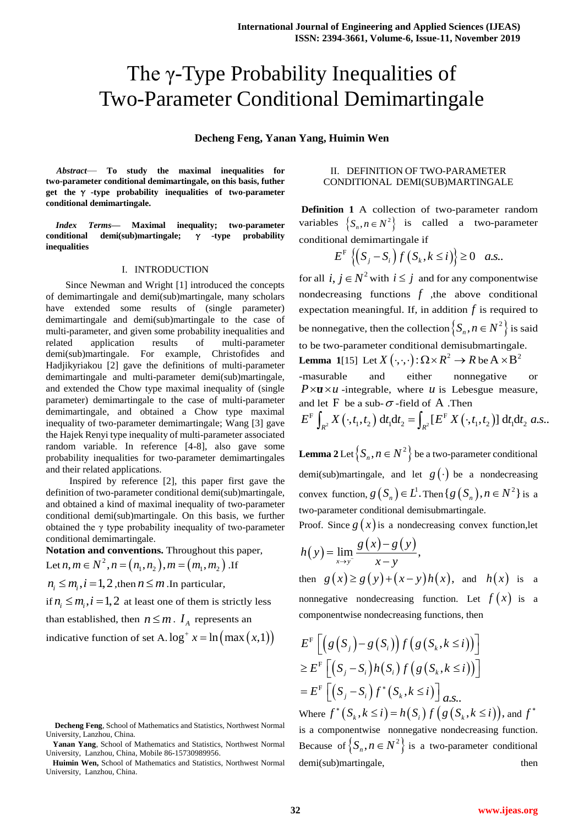# The γ-Type Probability Inequalities of Two-Parameter Conditional Demimartingale

**Decheng Feng, Yanan Yang, Huimin Wen**

*Abstract*— **To study the maximal inequalities for two-parameter conditional demimartingale, on this basis, futher get the** γ **-type probability inequalities of two-parameter conditional demimartingale.**

*Index Terms***— Maximal inequality; two-parameter conditional demi(sub)martingale;** γ **-type probability inequalities**

## I. INTRODUCTION

Since Newman and Wright [1] introduced the concepts of demimartingale and demi(sub)martingale, many scholars have extended some results of (single parameter) demimartingale and demi(sub)martingale to the case of multi-parameter, and given some probability inequalities and related application results of multi-parameter demi(sub)martingale. For example, Christofides and Hadjikyriakou [2] gave the definitions of multi-parameter demimartingale and multi-parameter demi(sub)martingale, and extended the Chow type maximal inequality of (single parameter) demimartingale to the case of multi-parameter demimartingale, and obtained a Chow type maximal inequality of two-parameter demimartingale; Wang [3] gave the Hajek Renyi type inequality of multi-parameter associated random variable. In reference [4-8], also gave some probability inequalities for two-parameter demimartingales and their related applications.

Inspired by reference [2], this paper first gave the definition of two-parameter conditional demi(sub)martingale, and obtained a kind of maximal inequality of two-parameter conditional demi(sub)martingale. On this basis, we further obtained the γ type probability inequality of two-parameter conditional demimartingale.

**Notation and conventions.** Throughout this paper, Let  $n, m \in N^2, n = (n_1, n_2), m = (m_1, m_2)$ **ation and conventions.** Throughout this j<br> $n, m \in N^2, n = (n_1, n_2), m = (m_1, m_2)$ . If

 $n_i \leq m_i, i = 1, 2$ , then  $n \leq m$ . In particular,

if  $n_i \leq m_i$ ,  $i = 1, 2$  at least one of them is strictly less than established, then  $n \leq m$ .  $I_A$  represents an

indicative function of set A.  $log^+ x = ln(max(x,1))$ 

# II. DEFINITION OF TWO-PARAMETER CONDITIONAL DEMI(SUB)MARTINGALE

**Definition 1** A collection of two-parameter random variables  $\{S_n, n \in N^2\}$  is called a two-parameter

conditional demimartingale if  

$$
E^{F}\left\{ \left(S_{j}-S_{i}\right)f\left(S_{k}, k \leq i\right)\right\} \geq 0 \quad a.s..
$$

for all  $i, j \in \mathbb{N}^2$  with  $i \leq j$  and for any componentwise nondecreasing functions  $f$ , the above conditional expectation meaningful. If, in addition  $f$  is required to be nonnegative, then the collection  $\left\{ S_n, n \in N^2 \right\}$  is said to be two-parameter conditional demisubmartingale. **Lemma** 1[15] Let  $X(\cdot, \cdot)$ :  $\Omega \times R^2 \to R$  be  $A \times B^2$ 

-masurable and either nonnegative or  $P \times \mathbf{u} \times \mathbf{u}$  -integrable, where  $\mathbf{u}$  is Lebesgue measure, and let  $F$  be a sub- $\sigma$ -field of A. Then  $\times u$  -integrable, where *u* is Lebesgue measure,<br>  $t \to \infty$  is a sub- $\sigma$ -field of A .Then<br>  $\int_{2} X(\cdot, t_1, t_2) dt_1 dt_2 = \int_{R^2} [E^F X(\cdot, t_1, t_2)] dt_1 dt_2 a.s..$ masurable and either nonnegative or<br> *P*×**u**×*u* -integrable, where *u* is Lebesgue measure,<br>
and let F be a sub- $\sigma$ -field of A .Then<br>  $E^F \int_{R^2} X(\cdot, t_1, t_2) dt_1 dt_2 = \int_{R^2} [E^F X(\cdot, t_1, t_2)] dt_1 dt_2 a.s$ 

$$
E^{F} \int_{R^{2}} X(\cdot,t_{1},t_{2}) dt_{1} dt_{2} = \int_{R^{2}} [E^{F} X(\cdot,t_{1},t_{2})] dt_{1} dt_{2} a.s.
$$

**Lemma** 2 Let  $\left\{ S_n, n \in N^2 \right\}$  be a two-parameter conditional demi(sub)martingale, and let  $g(\cdot)$  be a nondecreasing convex function,  $g(S_n) \in L^1$ . Then  $\{g(S_n), n \in N^2\}$  is a two-parameter conditional demisubmartingale.

Proof. Since  $g(x)$  is a nondecreasing convex function, let

$$
h(y) = \lim_{x \to y^{-}} \frac{g(x) - g(y)}{x - y},
$$

then  $g(x) \ge g(y)+(x-y)h(x)$ , and  $h(x)$  is a nonnegative nondecreasing function. Let  $f(x)$  is a componentwise nondecreasing functions, then

$$
E^{\mathrm{F}}\left[\left(g\left(S_{j}\right)-g\left(S_{i}\right)\right)f\left(g\left(S_{k},k\leq i\right)\right)\right]
$$
\n
$$
\geq E^{\mathrm{F}}\left[\left(S_{j}-S_{i}\right)h\left(S_{i}\right)f\left(g\left(S_{k},k\leq i\right)\right)\right]
$$
\n
$$
=E^{\mathrm{F}}\left[\left(S_{j}-S_{i}\right)f^{*}\left(S_{k},k\leq i\right)\right]a.s..
$$
\nWhere  $f^{*}\left(S_{k},k\leq i\right)=h\left(S_{i}\right)f\left(g\left(S_{k},k\leq i\right)\right)$ , and  $f^{*}$  is a componentwise nonnegative nondecreasing function.  
\nBecause of  $\left\{S_{n},n\in N^{2}\right\}$  is a two-parameter conditional  
\ndemi(sub) martingale, then

**Decheng Feng**, School of Mathematics and Statistics, Northwest Normal University, Lanzhou, China.

**Yanan Yang**, School of Mathematics and Statistics, Northwest Normal University, Lanzhou, China, Mobile 86-15730989956.

**Huimin Wen,** School of Mathematics and Statistics, Northwest Normal University, Lanzhou, China.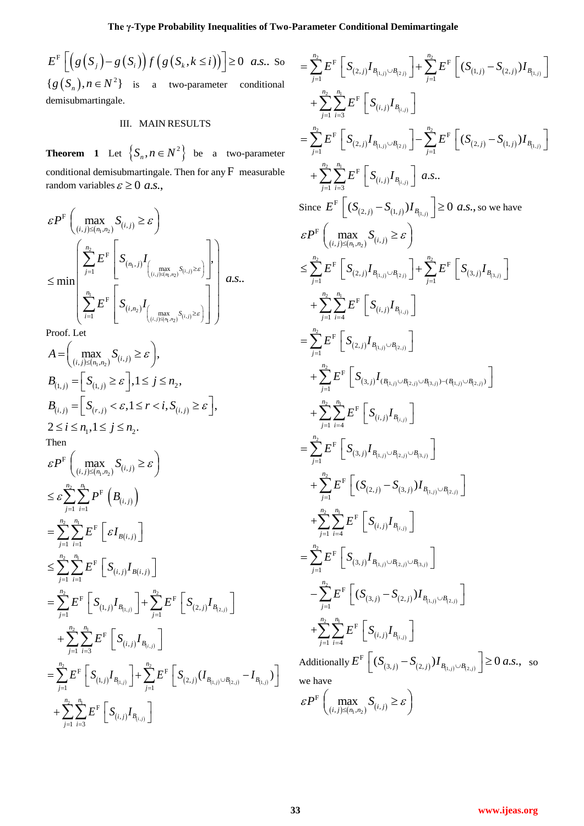**The γ-Type Probability Inequalities of Two-Parameter Conditional Demimartingale**<br>  $-g(S_i) f(g(S_k, k \le i))] \ge 0$  *a.s.*. So  $= \sum_{j=1}^{n_2} E^F \left[ S_{(2,j)} I_{B_{(1,j)} \cup B_{(2,j)}} \right] + \sum_{j=1}^{n_2} E^F \left[ (S_{(1,j)})^{1/2} \right]$  $E^{F}[(g(S_{i})-g(S_{i}))f(g(S_{k}, k \leq i))] \geq 0$  as  $F\left[ (g(S_i) - g(S_i)) f(g(S_k, k \leq i)) \right] \geq 0$  a.s.. So  ${g(S_n), n \in N^2}$  is a two-parameter conditional demisubmartingale.

# III. MAIN RESULTS

**Theorem 1** Let  $\{S_n, n \in N^2\}$  be a two-parameter conditional demisubmartingale. Then for any  $F$  measurable random variables  $\varepsilon \geq 0$  *a.s.*,

$$
\varepsilon P^{F}\left(\max_{(i,j)\leq (n_{1},n_{2})}S_{(i,j)}\geq \varepsilon\right) \n\leq \min\left(\sum_{j=1}^{n_{2}}E^{F}\left[S_{(n_{1},j)}I_{\left(\max_{(i,j)\leq (n_{1},n_{2})}S_{(i,j)}\geq \varepsilon\right)}\right],\right) \n\leq \min\left(\sum_{i=1}^{n_{1}}E^{F}\left[S_{(i,n_{2})}I_{\left(\max_{(i,j)\leq (n_{1},n_{2})}S_{(i,j)}\geq \varepsilon\right)}\right]\right),
$$

Proof. Let

$$
A = \left(\max_{(i,j)\leq (n_1,n_2)} S_{(i,j)} \geq \varepsilon\right),
$$
  
\n
$$
B_{(1,j)} = \left[S_{(1,j)} \geq \varepsilon\right], 1 \leq j \leq n_2,
$$
  
\n
$$
B_{(i,j)} = \left[S_{(r,j)} < \varepsilon, 1 \leq r < i, S_{(i,j)} \geq \varepsilon\right],
$$
  
\n
$$
2 \leq i \leq n_1, 1 \leq j \leq n_2.
$$

Then

$$
\varepsilon P^{F}\left(\max_{(i,j)\leq (n_{1},n_{2})}S_{(i,j)}\geq \varepsilon\right) =\n\begin{cases}\n\leq \varepsilon \sum_{j=1}^{n_{2}} \sum_{i=1}^{n_{1}} P^{F}\left(B_{(i,j)}\right) \\
= \sum_{j=1}^{n_{2}} \sum_{i=1}^{n_{1}} E^{F}\left[\varepsilon I_{B(i,j)}\right] \\
\leq \sum_{j=1}^{n_{2}} \sum_{i=1}^{n_{1}} E^{F}\left[S_{(i,j)}I_{B(i,j)}\right] \\
= \sum_{j=1}^{n_{2}} E^{F}\left[S_{(1,j)}I_{B_{(1,j)}}\right] + \sum_{j=1}^{n_{2}} E^{F}\left[S_{(2,j)}I_{B_{(2,j)}}\right] \\
+ \sum_{j=1}^{n_{2}} \sum_{i=3}^{n_{1}} E^{F}\left[S_{(i,j)}I_{B_{(i,j)}}\right] \\
= \sum_{j=1}^{n_{2}} E^{F}\left[S_{(1,j)}I_{B_{(1,j)}}\right] + \sum_{j=1}^{n_{2}} E^{F}\left[S_{(2,j)}\left(I_{B_{(1,j)}\cup B_{(2,j)}} - I_{B_{(1,j)}}\right)\right] \\
+ \sum_{j=1}^{n_{2}} \sum_{i=3}^{n_{1}} E^{F}\left[S_{(i,j)}I_{B_{(i,j)}}\right] + \sum_{j=1}^{n_{2}} E^{F}\left[S_{(2,j)}\left(I_{B_{(1,j)}\cup B_{(2,j)}} - I_{B_{(1,j)}}\right)\right] \text{ we have } F\left(\sum_{i=1}^{n_{2}} \sum_{j=1}^{n_{i}} E^{F}\left[S_{(i,j)}I_{B_{(i,j)}}\right]\right)
$$

$$
= \sum_{j=1}^{n_{2}} E^{F} \left[ S_{(2,j)} I_{B_{(i,j)} > B_{(2,j)}} \right] + \sum_{j=1}^{n_{2}} E^{F} \left[ (S_{(1,j)} - S_{(2,j)}) I_{B_{(1,j)}} \right]
$$
  
+ 
$$
\sum_{j=1}^{n_{2}} \sum_{i=3}^{n_{1}} E^{F} \left[ S_{(2,j)} I_{B_{(i,j)} > B_{(i,j)}} \right]
$$
  
+ 
$$
\sum_{j=1}^{n_{2}} \sum_{i=3}^{n_{3}} E^{F} \left[ S_{(2,j)} I_{B_{(i,j)} > B_{(i,j)}} \right] - \sum_{j=1}^{n_{3}} E^{F} \left[ (S_{(2,j)} - S_{(1,j)}) I_{B_{(1,j)}} \right]
$$
  
+ 
$$
\sum_{j=1}^{n_{3}} \sum_{i=3}^{n_{4}} E^{F} \left[ S_{(i,j)} I_{B_{(i,j)}} \right] a.s..
$$
  
Since 
$$
E^{F} \left[ (S_{(2,j)} - S_{(1,j)}) I_{B_{(1,j)}} \right] \ge 0 \ a.s., \text{ so we have}
$$
  

$$
\varepsilon P^{F} \left( \sum_{(1,j) \in \{n_{1}, n_{2}\}} S_{(i,j)} \ge \varepsilon \right)
$$
  

$$
\le \sum_{j=1}^{n_{2}} E^{F} \left[ S_{(2,j)} I_{B_{(1,j)} > B_{(2,j)}} \right] + \sum_{j=1}^{n_{3}} E^{F} \left[ S_{(3,j)} I_{B_{(3,j)}} \right]
$$
  
+ 
$$
\sum_{j=1}^{n_{3}} \sum_{i=1}^{n_{4}} E^{F} \left[ S_{(1,j)} I_{B_{(1,j)} > B_{(2,j)}} \right]
$$
  
+ 
$$
\sum_{j=1}^{n_{3}} \sum_{i=1}^{n_{5}} E^{F} \left[ S_{(1,j)} I_{B_{(1,j)} > B_{(2,j)}} \right]
$$
  
+ 
$$
\sum_{j=1}^{n_{3}} \sum_{i=1}^{n_{5}} E^{F} \left[ S_{(1,j)} I_{B_{(1,j)} > B_{(2,j)}} \right]
$$
  
+ 
$$
\sum_{j=1}^{n_{3}} \sum_{i=1}^{n_{5}} E^{F} \left[ S_{
$$

$$
\varepsilon P^{\mathrm{F}}\left(\max_{(i,j)\leq (n_1,n_2)} S_{(i,j)} \geq \varepsilon\right)
$$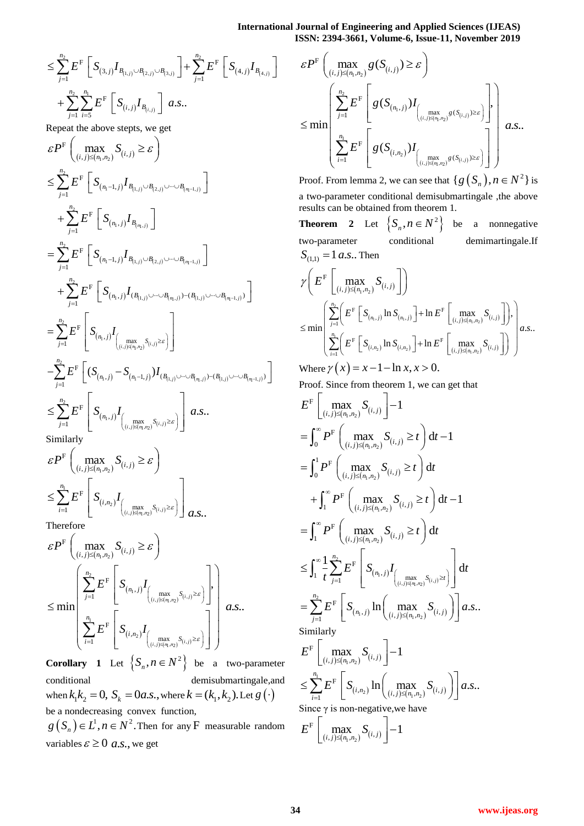**International Journal of Engineering and Applied Sciences (IJEAS) ISSN: 2394-3661, Volume-6, Issue-11, November 2019**

**International Jou**  
\n
$$
\leq \sum_{j=1}^{n_2} E^{\mathcal{F}} \left[ S_{(3,j)} I_{B_{(1,j)} \cup B_{(2,j)} \cup B_{(3,j)}} \right] + \sum_{j=1}^{n_2} E^{\mathcal{F}} \left[ S_{(4,j)} I_{B_{(4,j)}} \right] \qquad \mathcal{E}I
$$
\n
$$
+ \sum_{j=1}^{n_2} \sum_{i=5}^{n_1} E^{\mathcal{F}} \left[ S_{(i,j)} I_{B_{(i,j)}} \right] a.s.. \qquad (2.12)
$$

Repeat the above steps, we get  
\n
$$
\varepsilon P^{F}\left(\max_{(i,j)\leq (n_{1},n_{2})} S_{(i,j)} \geq \varepsilon\right)
$$
\n
$$
\leq \sum_{j=1}^{n_{2}} E^{F}\left[S_{(n_{1}-1,j)} I_{B_{(1,j)}\cup B_{(2,j)}\cup\cdots\cup B_{(n_{1}-1,j)}}\right]
$$
\n
$$
= \sum_{j=1}^{n_{2}} E^{F}\left[S_{(n_{1}-1,j)} I_{B_{(n,j)}\cup B_{(2,j)}\cup\cdots\cup B_{(n_{1}-1,j)}}\right]
$$
\n
$$
= \sum_{j=1}^{n_{2}} E^{F}\left[S_{(n_{1}-1,j)} I_{B_{(1,j)}\cup B_{(2,j)}\cup\cdots\cup B_{(n_{1}-1,j)}}\right]
$$
\n
$$
+ \sum_{j=1}^{n_{2}} E^{F}\left[S_{(n_{1},j)} I_{(B_{(1,j)}\cup\cdots\cup B_{(n_{1},j)})-(B_{(1,j)}\cup\cdots\cup B_{(n_{1}-1,j)})}\right]
$$
\n
$$
= \sum_{j=1}^{n_{2}} E^{F}\left[S_{(n_{1},j)} I_{(max_{(j)\leq (n_{1},n_{2})} S_{(i,j)})\geq \varepsilon}\right]
$$
\n
$$
- \sum_{j=1}^{n_{2}} E^{F}\left[(S_{(n_{1},j)} - S_{(n_{1}-1,j)}) I_{(B_{(1,j)}\cup\cdots\cup B_{(n_{1},j)})-(B_{(1,j)}\cup\cdots\cup B_{(n_{1}-1,j)})}\right]
$$
\n
$$
= \sum_{j=1}^{n_{2}} E^{F}\left[S_{(n_{1},j)} I_{(max_{j\leq (j)\leq n_{j})} S_{(i,j)}\geq \varepsilon}\right]
$$
\n
$$
= \sum_{j=1}^{n_{2}} E^{F}\left[S_{(n_{1},j)} I_{(max_{j\leq (j)\leq n_{j})} S_{(i,j)}\geq \varepsilon}\right]
$$

Similarly

$$
\varepsilon P^{\mathrm{F}}\left(\max_{(i,j)\leq (n_1,n_2)} S_{(i,j)} \geq \varepsilon\right)
$$
  

$$
\leq \sum_{i=1}^{n_1} E^{\mathrm{F}}\left[S_{(i,n_2)}I_{\left(\max_{(i,j)\leq (n_1,n_2)} S_{(i,j)}\geq \varepsilon\right)}\right] a.s..
$$
  
Therefore

Therefore

$$
\varepsilon P^{F}\left(\max_{(i,j)\leq (n_1,n_2)} S_{(i,j)} \geq \varepsilon\right)
$$
  

$$
\leq \min \left(\sum_{j=1}^{n_2} E^{F}\left[S_{(n_1,j)}I_{\left(\max\limits_{(i,j)\leq (n_1,n_2)} S_{(i,j)} \geq \varepsilon\right)}\right]\right),
$$
  

$$
\leq \min \left(\sum_{i=1}^{n_1} E^{F}\left[S_{(i,n_2)}I_{\left(\max\limits_{(i,j)\leq (n_1,n_2)} S_{(i,j)} \geq \varepsilon\right)}\right]\right),
$$

**Corollary** 1 Let  $\left\{ S_n, n \in \mathbb{N}^2 \right\}$  be a two-parameter conditional demisubmartingale,and when  $k_1 k_2 = 0$ ,  $S_k = 0$ *a.s.*, where  $k = (k_1, k_2)$ . Let  $g(\cdot)$ 

be a nondecreasing convex function,

 $g(S_n) \in L^1, n \in N^2$ . Then for any F measurable random variables  $\varepsilon \geq 0$  *a.s.*, we get

$$
\varepsilon P^{\mathrm{F}}\left(\max_{(i,j)\leq (n_{1},n_{2})}g(S_{(i,j)})\geq \varepsilon\right)
$$
  

$$
\leq \min\left(\sum_{i=1}^{n_{2}}E^{\mathrm{F}}\left[g(S_{(n_{1},j)})I_{\left(\max_{(i,j)\leq (n_{1},n_{2})}g(S_{(i,j)})\geq \varepsilon\right)}\right],\right)
$$
  

$$
\leq \min\left(\sum_{i=1}^{n_{1}}E^{\mathrm{F}}\left[g(S_{(i,n_{2})})I_{\left(\max_{(i,j)\leq (n_{1},n_{2})}g(S_{(i,j)})\geq \varepsilon\right)}\right]\right)
$$

Proof. From lemma 2, we can see that  $\{g(S_n), n \in N^2\}$  is a two-parameter conditional demisubmartingale ,the above results can be obtained from theorem 1.

**Theorem 2** Let  $\{S_n, n \in N^2\}$  be a nonnegative two-parameter conditional demimartingale.If  $S_{(1,1)} = 1 a.s..$  Then

$$
\gamma \Bigg( E^{\mathrm{F}} \Bigg[ \max_{(i,j) \leq (n_1, n_2)} S_{(i,j)} \Bigg] \Bigg) \n\leq \min \left( \sum_{j=1}^{n_2} \Bigg( E^{\mathrm{F}} \Bigg[ S_{(n_1,j)} \ln S_{(n_1,j)} \Bigg] + \ln E^{\mathrm{F}} \Bigg[ \max_{(i,j) \leq (n_1, n_2)} S_{(i,j)} \Bigg] \Bigg),
$$
\n
$$
\leq \min \left( \sum_{i=1}^{n_1} \Bigg( E^{\mathrm{F}} \Bigg[ S_{(i,n_2)} \ln S_{(i,n_2)} \Bigg] + \ln E^{\mathrm{F}} \Bigg[ \max_{(i,j) \leq (n_1, n_2)} S_{(i,j)} \Bigg] \right) \right) a.s..
$$

Where  $\gamma(x) = x - 1 - \ln x, x > 0$ .

Proof. Since from theorem 1, we can get that

$$
E^{\mathcal{F}}\left[\max_{(i,j)\leq (n_{1},n_{2})}S_{(i,j)}\right]-1
$$
\n
$$
=\int_{0}^{\infty}P^{\mathcal{F}}\left(\max_{(i,j)\leq (n_{1},n_{2})}S_{(i,j)}\geq t\right)dt-1
$$
\n
$$
=\int_{0}^{1}P^{\mathcal{F}}\left(\max_{(i,j)\leq (n_{1},n_{2})}S_{(i,j)}\geq t\right)dt
$$
\n
$$
+\int_{1}^{\infty}P^{\mathcal{F}}\left(\max_{(i,j)\leq (n_{1},n_{2})}S_{(i,j)}\geq t\right)dt-1
$$
\n
$$
=\int_{1}^{\infty}P^{\mathcal{F}}\left(\max_{(i,j)\leq (n_{1},n_{2})}S_{(i,j)}\geq t\right)dt
$$
\n
$$
\leq \int_{1}^{\infty}\frac{1}{t}\sum_{j=1}^{n_{2}}E^{\mathcal{F}}\left[S_{(n_{1},j)}I_{\left(\max_{(i,j)\leq (n_{1},n_{2})}S_{(i,j)}\geq t\right)}\right]dt
$$
\n
$$
=\sum_{j=1}^{n_{2}}E^{\mathcal{F}}\left[S_{(n_{1},j)}\ln\left(\max_{(i,j)\leq (n_{1},n_{2})}S_{(i,j)}\right)\right]a.s..
$$
\nSimilarly\n
$$
E^{\mathcal{F}}\left[\max_{(i,j)\leq (n_{1},n_{2})}S_{(i,j)}\right]-1
$$
\n
$$
\leq \sum_{i=1}^{n_{1}}E^{\mathcal{F}}\left[S_{(i,n_{2})}\ln\left(\max_{(i,j)\leq (n_{1},n_{2})}S_{(i,j)}\right)\right]a.s..
$$

Since  $\gamma$  is non-negative, we have

$$
E^{\mathrm{F}}\left[\max_{(i,j)\leq (n_{\mathrm{I}},n_{\mathrm{2}})}^{\qquad \qquad \infty}S_{(i,j)}\right]-1
$$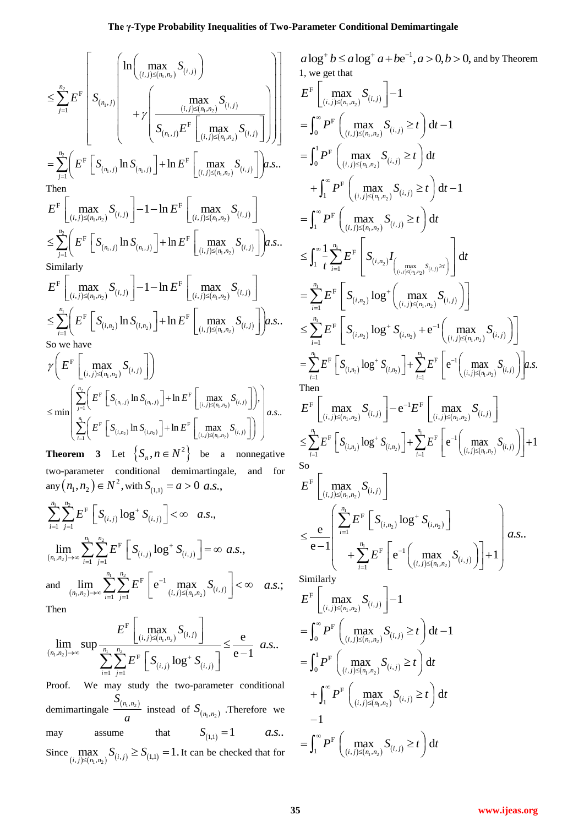$$
\leq \sum_{j=1}^{n_2} E^F \left[ S_{(n_1,j)} \left( \frac{\ln \left( \max\limits_{(i,j) \leq (n_1,n_2)} S_{(i,j)} \right)}{s_{(n_1,j)}} \right) + \gamma \left( \frac{\max\limits_{(i,j) \leq (n_1,n_2)} S_{(i,j)}}{S_{(n_1,j)} E^F \left[ \max\limits_{(i,j) \leq (n_1,n_2)} S_{(i,j)} \right]} \right) \right] \begin{array}{l} a \log \left( \frac{\ln \left( \max\limits_{(i,j) \leq (n_1,n_2)} S_{(i,j)} \right)}{s_{(n_1,j)}} \right) + \frac{\ln \left( \max\limits_{(i,j) \leq (n_1,n_2)} S_{(i,j)} \right)}{s_{(n_1,j)}} \right) + \frac{\ln \left( \max\limits_{(i,j) \leq (n_1,n_2)} S_{(i,j)} \right)}{s_{(n_1,j)}} \end{array}
$$
\nThen\n
$$
E^F \left[ \max\limits_{(i,j) \leq (n_1,n_2)} S_{(i,j)} \right] - 1 - \ln E^F \left[ \max\limits_{(i,j) \leq (n_1,n_2)} S_{(i,j)} \right] + \frac{\ln \left( \max\limits_{(i,j) \leq (n_1,n_2)} S_{(i,j)} \right)}{s_{(n_1,j)}} \right] - \frac{\ln \left( \max\limits_{(i,j) \leq (n_1,n_2)} S_{(i,j)} \right)}{s_{(n_1,j)}} \end{array}
$$

$$
E^{T} \left[ \max_{(i,j)\leq (n_{1},n_{2})} S_{(i,j)} \right] - 1 - \ln E^{T} \left[ \max_{(i,j)\leq (n_{1},n_{2})} S_{(i,j)} \right]
$$
  
\n
$$
\leq \sum_{j=1}^{n_{2}} \left( E^{F} \left[ S_{(n_{1},j)} \ln S_{(n_{1},j)} \right] + \ln E^{F} \left[ \max_{(i,j)\leq (n_{1},n_{2})} S_{(i,j)} \right] \right) a.s..
$$
  
\nSimilarly

Similarly  
\n
$$
E^{F}\left[\max_{(i,j)\leq (n_{1},n_{2})} S_{(i,j)}\right] - 1 - \ln E^{F}\left[\max_{(i,j)\leq (n_{1},n_{2})} S_{(i,j)}\right]
$$
\n
$$
\leq \sum_{i=1}^{n_{1}} \left( E^{F}\left[S_{(i,n_{2})} \ln S_{(i,n_{2})}\right] + \ln E^{F}\left[\max_{(i,j)\leq (n_{1},n_{2})} S_{(i,j)}\right] \right) a.s..
$$
\nSo we have

$$
\gamma \Bigg( E^{\mathrm{F}} \left[ \max_{(i,j) \leq (n_1,n_2)} S_{(i,j)} \right] \Bigg) \n\leq \min \left( \sum_{j=1}^{n_2} \Bigg( E^{\mathrm{F}} \left[ S_{(n_1,j)} \ln S_{(n_1,j)} \right] + \ln E^{\mathrm{F}} \left[ \max_{(i,j) \leq (n_1,n_2)} S_{(i,j)} \right] \Bigg), \newline \sum_{i=1}^{n_1} \Bigg( E^{\mathrm{F}} \left[ S_{(i,n_2)} \ln S_{(i,n_2)} \right] + \ln E^{\mathrm{F}} \left[ \max_{(i,j) \leq (n_1,n_2)} S_{(i,j)} \right] \Bigg) \right) a.s..
$$

**Theorem 3** Let  $\{S_n, n \in N^2\}$  be a nonnegative two-parameter conditional demimartingale, and for  $\text{any}(n_1, n_2) \in N^2, \text{with } S_{(1,1)} = a > 0 \text{ a.s.},$ 

any 
$$
(n_1, n_2) \in N
$$
, with  $S_{(1,1)} = a > 0$  a.s.,  
\n
$$
\sum_{i=1}^{n_1} \sum_{j=1}^{n_2} E^F \left[ S_{(i,j)} \log^+ S_{(i,j)} \right] < \infty \quad a.s.,
$$
\n
$$
\lim_{(n_1, n_2) \to \infty} \sum_{i=1}^{n_1} \sum_{j=1}^{n_2} E^F \left[ S_{(i,j)} \log^+ S_{(i,j)} \right] = \infty \quad a.s.,
$$
\nand 
$$
\lim_{(n_1, n_2) \to \infty} \sum_{i=1}^{n_1} \sum_{j=1}^{n_2} E^F \left[ e^{-1} \max_{(i,j) \le (n_1, n_2)} S_{(i,j)} \right] < \infty \quad a.s.
$$

and 
$$
\lim_{(n_1,n_2)\to\infty} \sum_{i=1}^{\infty} \sum_{j=1}^{\infty} E^F \left[ e^{-1} \max_{(i,j)\leq (n_1,n_2)} S_{(i,j)} \right] < \infty
$$
  
Then

Then

Then  
\n
$$
\lim_{(n_1,n_2)\to\infty} \sup \frac{E^F\left[\max_{(i,j)\leq (n_1,n_2)} S_{(i,j)}\right]}{\sum_{i=1}^{n_1} \sum_{j=1}^{n_2} E^F\left[S_{(i,j)} \log^+ S_{(i,j)}\right]} \leq \frac{e}{e-1} a.s..
$$

Proof. We may study the two-parameter conditional demimartingale  $S_{(n_1,n_2)}$  $\frac{n_1, n_2}{a}$  instead of  $S_{(n_1, n_2)}$ . Therefore we may assume that  $S_{(1,1)} = 1$  *a.s.*. Since  $\max_{(i,j)\leq (n_1,n_2)} S_{(i,j)} \geq S_{(1,1)} = 1$ . It can be checked that for

$$
a \log^{+} b \leq a \log^{+} a + b e^{-1}, a > 0, b > 0, \text{ and by Theorem}
$$
\n1, we get that\n
$$
E^F \left[ \max_{(i,j) \leq (n_1, n_2)} S_{(i,j)} \right] - 1
$$
\n
$$
= \int_0^{\infty} P^F \left( \max_{(i,j) \leq (n_1, n_2)} S_{(i,j)} \geq t \right) dt - 1
$$
\n
$$
= \int_0^1 P^F \left( \max_{(i,j) \leq (n_1, n_2)} S_{(i,j)} \geq t \right) dt - 1
$$
\n
$$
= \int_1^{\infty} P^F \left( \max_{(i,j) \leq (n_1, n_2)} S_{(i,j)} \geq t \right) dt - 1
$$
\n
$$
= \int_1^{\infty} P^F \left( \max_{(i,j) \leq (n_1, n_2)} S_{(i,j)} \geq t \right) dt
$$
\n
$$
\leq \int_1^{\infty} \frac{1}{t} \sum_{i=1}^n E^F \left[ S_{(i,n_2)} \log^{+} \left( \max_{(i,j) \leq (n_1, n_2)} S_{(i,j)} \right) \right]
$$
\n
$$
= \sum_{i=1}^n E^F \left[ S_{(i,n_2)} \log^{+} \left( \max_{(i,j) \leq (n_1, n_2)} S_{(i,j)} \right) \right]
$$
\n
$$
\leq \sum_{i=1}^n E^F \left[ S_{(i,n_2)} \log^{+} S_{(i,n_2)} + e^{-1} \left( \max_{(i,j) \leq (n_1, n_2)} S_{(i,j)} \right) \right]
$$
\n
$$
= \sum_{i=1}^n E^F \left[ S_{(i,n_2)} \log^{+} S_{(i,n_2)} \right] + \sum_{i=1}^n E^F \left[ e^{-1} \left( \max_{(i,j) \leq (n_1, n_2)} S_{(i,j)} \right) \right]
$$
\nThen\n
$$
E^F \left[ \max_{(i,j) \leq (n_1, n_2)} S_{(i,j)} \right] - e^{-1} E^F \left[ \max_{(i,j) \leq (n_1, n_
$$

1

*a.s.*;  $\begin{array}{c} \text{Similarly} \\ \text{Simplify} \end{array}$ 

$$
E^{\mathrm{F}}\left[\max_{(i,j)\leq (n_1,n_2)} S_{(i,j)}\right] - 1
$$
  
\n
$$
= \int_0^\infty P^{\mathrm{F}}\left(\max_{(i,j)\leq (n_1,n_2)} S_{(i,j)} \geq t\right) dt - 1
$$
  
\n
$$
= \int_0^1 P^{\mathrm{F}}\left(\max_{(i,j)\leq (n_1,n_2)} S_{(i,j)} \geq t\right) dt
$$
  
\n
$$
+ \int_1^\infty P^{\mathrm{F}}\left(\max_{(i,j)\leq (n_1,n_2)} S_{(i,j)} \geq t\right) dt
$$
  
\n
$$
-1
$$
  
\n
$$
= \int_1^\infty P^{\mathrm{F}}\left(\max_{(i,j)\leq (n_1,n_2)} S_{(i,j)} \geq t\right) dt
$$